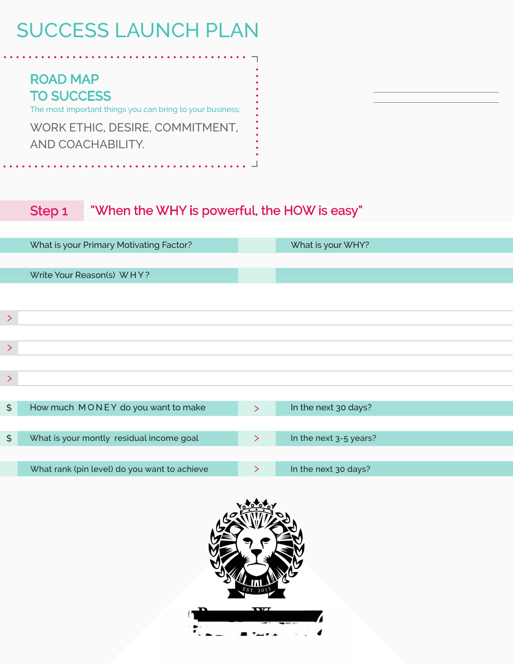ROAD MAP TO SUCCESS The most important things you can bring to your business: WORK ETHIC, DESIRE, COMMITMENT, AND COACHABILITY.

#### Step 1 "When the WHY is powerful, the HOW is easy"

|               | What is your Primary Motivating Factor?      |        | What is your WHY?      |  |
|---------------|----------------------------------------------|--------|------------------------|--|
|               |                                              |        |                        |  |
|               | Write Your Reason(s) WHY?                    |        |                        |  |
|               |                                              |        |                        |  |
|               |                                              |        |                        |  |
| $\geq$        |                                              |        |                        |  |
|               |                                              |        |                        |  |
| ⋋             |                                              |        |                        |  |
|               |                                              |        |                        |  |
| $\geq$        |                                              |        |                        |  |
|               |                                              |        |                        |  |
| $\frac{4}{5}$ | How much MONEY do you want to make           | $\sum$ | In the next 30 days?   |  |
|               |                                              |        |                        |  |
| $\frac{1}{2}$ | What is your montly residual income goal     | $\geq$ | In the next 3-5 years? |  |
|               |                                              |        |                        |  |
|               | What rank (pin level) do you want to achieve | ↘      | In the next 30 days?   |  |
|               |                                              |        |                        |  |

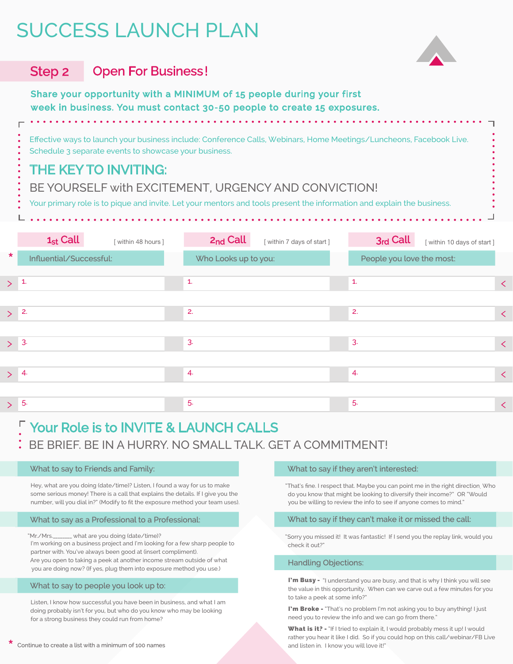

#### Step 2 Open For Business !

Share your opportunity with a MINIMUM of 15 people during your first week in business. You must contact 30-50 people to create 15 exposures.

Effective ways to launch your business include: Conference Calls, Webinars, Home Meetings/Luncheons, Facebook Live. Schedule 3 separate events to showcase your business.

## THE KEY TO INVITING:

BE YOURSELF with EXCITEMENT, URGENCY AND CONVICTION!

Your primary role is to pique and invite. Let your mentors and tools present the information and explain the business.

|         | $1_{st}$ Call<br>[within 48 hours] | 2 <sub>nd</sub> Call | [ within 7 days of start ] | 3rd Call     | [ within 10 days of start ] |
|---------|------------------------------------|----------------------|----------------------------|--------------|-----------------------------|
| $\star$ | Influential/Successful:            |                      | Who Looks up to you:       |              | People you love the most:   |
| >1      |                                    | $\mathbf{1}$         |                            | $\mathbf{1}$ | $\langle$                   |
|         |                                    |                      |                            |              |                             |
| $\geq$  | 2.                                 | 2.                   |                            | 2.           | $\prec$                     |
| > 3     |                                    | 3.                   |                            | 3.           | $\prec$                     |
|         |                                    |                      |                            |              |                             |
| > 4     |                                    | 4.                   |                            | 4.           | $\prec$                     |
|         |                                    |                      |                            |              |                             |
|         | > 5                                | 5.                   |                            | 5.           | $\leq$                      |

## Your Role is to INVITE & LAUNCH CALLS

BE BRIEF. BE IN A HURRY. NO SMALL TALK. GET A COMMITMENT!

#### What to say to Friends and Family:

Hey, what are you doing (date/time)? Listen, I found a way for us to make some serious money! There is a call that explains the details. If I give you the number, will you dial in?" (Modify to fit the exposure method your team uses).

#### What to say as a Professional to a Professional:

"Mr./Mrs.\_\_\_\_\_\_\_\_ what are you doing (date/time)? I'm working on a business project and I'm looking for a few sharp people to partner with. You've always been good at (insert compliment). Are you open to taking a peek at another income stream outside of what you are doing now? (If yes, plug them into exposure method you use.)

#### What to say to people you look up to:

Listen, I know how successful you have been in business, and what I am doing probably isn't for you, but who do you know who may be looking for a strong business they could run from home?

#### What to say if they aren't interested:

"That's fine. I respect that. Maybe you can point me in the right direction. Who do you know that might be looking to diversify their income?" OR "Would you be willing to review the info to see if anyone comes to mind."

#### What to say if they can't make it or missed the call:

"Sorry you missed it! It was fantastic! If I send you the replay link, would you check it out?

#### Handling Objections:

I'm Busy - "I understand you are busy, and that is why I think you will see the value in this opportunity. When can we carve out a few minutes for you to take a peek at some info?"

I'm Broke - "That's no problem I'm not asking you to buy anything! I just need you to review the info and we can go from there."

What is it? - "If I tried to explain it, I would probably mess it up! I would rather you hear it like I did. So if you could hop on this call/webinar/FB Live and listen in. I know you will love it!"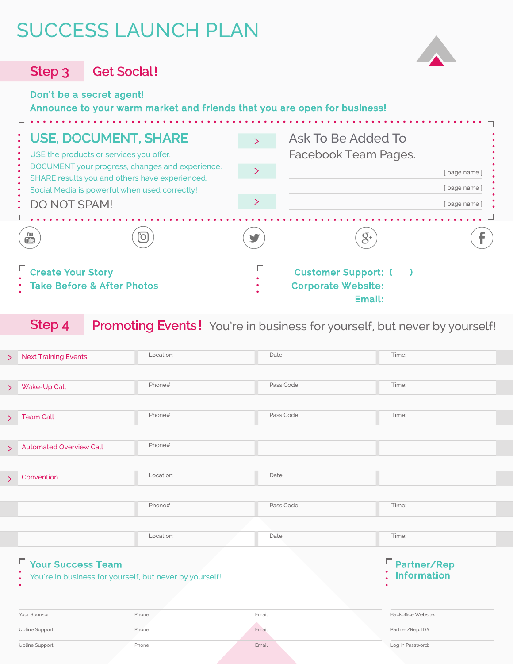

Step 3 Get Social!

### Don't be a secret agent!

### Announce to your warm market and friends that you are open for business!

| : USE, DOCUMENT, SHARE<br>USE the products or services you offer.                                                                                                  | Ask To Be Added To<br>Facebook Team Pages.                      |  |  |
|--------------------------------------------------------------------------------------------------------------------------------------------------------------------|-----------------------------------------------------------------|--|--|
| DOCUMENT your progress, changes and experience.<br>SHARE results you and others have experienced.<br>Social Media is powerful when used correctly!<br>DO NOT SPAM! | page name                                                       |  |  |
|                                                                                                                                                                    | page name                                                       |  |  |
|                                                                                                                                                                    | page name                                                       |  |  |
| $\frac{You}{Iube}$<br>$\overline{O}$                                                                                                                               | $\mathcal{S}^+$                                                 |  |  |
| <b>Create Your Story</b><br><b>Take Before &amp; After Photos</b>                                                                                                  | <b>Customer Support:</b><br><b>Corporate Website:</b><br>Email: |  |  |

### Step 4 Promoting Events! You're in business for yourself, but never by yourself!

| >      | <b>Next Training Events:</b>                                         | Location: | Date:              | Time:               |  |  |  |
|--------|----------------------------------------------------------------------|-----------|--------------------|---------------------|--|--|--|
|        |                                                                      |           |                    |                     |  |  |  |
| $\geq$ | Wake-Up Call                                                         | Phone#    | Pass Code:         | Time:               |  |  |  |
|        |                                                                      |           |                    |                     |  |  |  |
| $\geq$ | <b>Team Call</b>                                                     | Phone#    | Pass Code:         | Time:               |  |  |  |
|        |                                                                      |           |                    |                     |  |  |  |
| >      | <b>Automated Overview Call</b>                                       | Phone#    |                    |                     |  |  |  |
|        |                                                                      |           |                    |                     |  |  |  |
| $\geq$ | Convention                                                           | Location: | Date:              |                     |  |  |  |
|        |                                                                      |           |                    |                     |  |  |  |
|        |                                                                      | Phone#    | Pass Code:         | Time:               |  |  |  |
|        |                                                                      |           |                    |                     |  |  |  |
|        |                                                                      | Location: | Date:              | Time:               |  |  |  |
|        |                                                                      |           |                    |                     |  |  |  |
|        | <b>F</b> Your Success Team                                           |           | □ Partner/Rep.     |                     |  |  |  |
|        | You're in business for yourself, but never by yourself!<br>$\bullet$ |           | <b>Information</b> |                     |  |  |  |
|        |                                                                      |           |                    |                     |  |  |  |
|        |                                                                      |           |                    |                     |  |  |  |
|        | Your Sponsor                                                         | Phone     | Email              | Backoffice Website: |  |  |  |
|        | Upline Support                                                       | Phone     | Email              | Partner/Rep. ID#:   |  |  |  |
|        | Upline Support                                                       | Phone     | Email              | Log In Password:    |  |  |  |